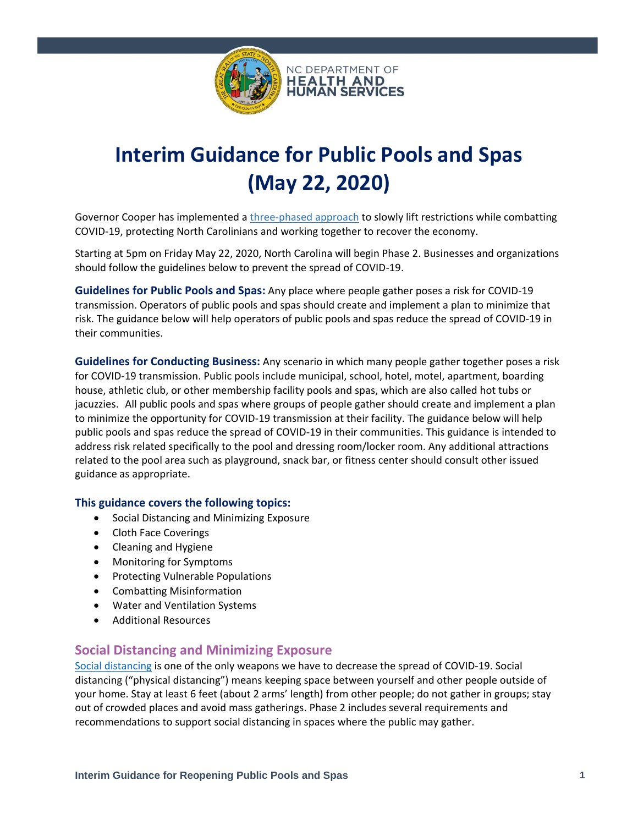

# **Interim Guidance for Public Pools and Spas (May 22, 2020)**

Governor Cooper has implemented a [three-phased approach](https://files.nc.gov/governor/documents/files/NC-3-PHASE-PLAN.pdf) to slowly lift restrictions while combatting COVID-19, protecting North Carolinians and working together to recover the economy.

Starting at 5pm on Friday May 22, 2020, North Carolina will begin Phase 2. Businesses and organizations should follow the guidelines below to prevent the spread of COVID-19.

**Guidelines for Public Pools and Spas:** Any place where people gather poses a risk for COVID-19 transmission. Operators of public pools and spas should create and implement a plan to minimize that risk. The guidance below will help operators of public pools and spas reduce the spread of COVID-19 in their communities.

**Guidelines for Conducting Business:** Any scenario in which many people gather together poses a risk for COVID-19 transmission. Public pools include municipal, school, hotel, motel, apartment, boarding house, athletic club, or other membership facility pools and spas, which are also called hot tubs or jacuzzies. All public pools and spas where groups of people gather should create and implement a plan to minimize the opportunity for COVID-19 transmission at their facility. The guidance below will help public pools and spas reduce the spread of COVID-19 in their communities. This guidance is intended to address risk related specifically to the pool and dressing room/locker room. Any additional attractions related to the pool area such as playground, snack bar, or fitness center should consult other issued guidance as appropriate.

#### **This guidance covers the following topics:**

- Social Distancing and Minimizing Exposure
- Cloth Face Coverings
- Cleaning and Hygiene
- Monitoring for Symptoms
- Protecting Vulnerable Populations
- Combatting Misinformation
- Water and Ventilation Systems
- Additional Resources

## **Social Distancing and Minimizing Exposure**

[Social distancing](https://www.cdc.gov/coronavirus/2019-ncov/prevent-getting-sick/social-distancing.html) is one of the only weapons we have to decrease the spread of COVID-19. Social distancing ("physical distancing") means keeping space between yourself and other people outside of your home. Stay at least 6 feet (about 2 arms' length) from other people; do not gather in groups; stay out of crowded places and avoid mass gatherings. Phase 2 includes several requirements and recommendations to support social distancing in spaces where the public may gather.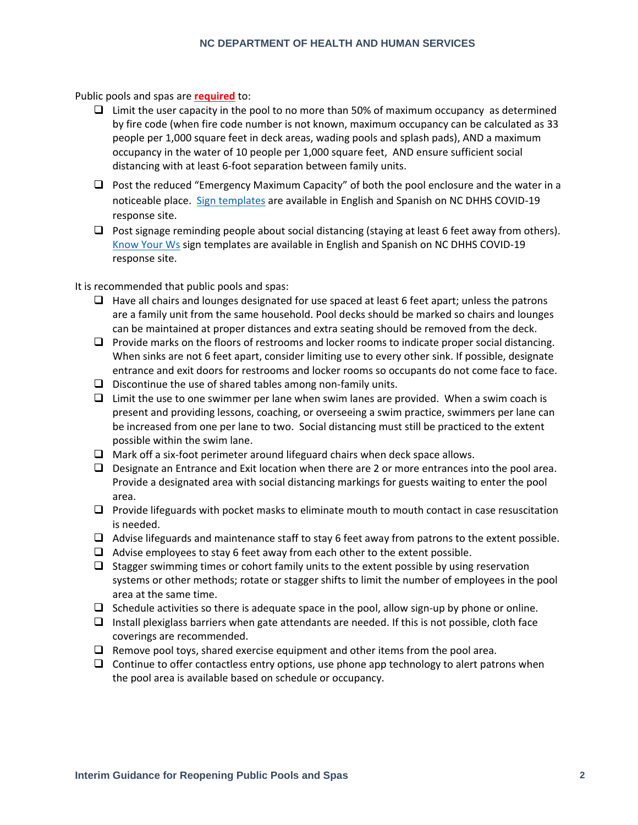Public pools and spas are **required** to:

- $\Box$  Limit the user capacity in the pool to no more than 50% of maximum occupancy as determined by fire code (when fire code number is not known, maximum occupancy can be calculated as 33 people per 1,000 square feet in deck areas, wading pools and splash pads), AND a maximum occupancy in the water of 10 people per 1,000 square feet, AND ensure sufficient social distancing with at least 6-foot separation between family units.
- ❑ Post the reduced "Emergency Maximum Capacity" of both the pool enclosure and the water in a noticeable place. [Sign templates](https://covid19.ncdhhs.gov/guidance#phase-1-easing-of-restrictions) are available in English and Spanish on NC DHHS COVID-19 response site.
- $\Box$  Post signage reminding people about social distancing (staying at least 6 feet away from others). [Know Your Ws](https://covid19.ncdhhs.gov/materials-resources/know-your-ws-wear-wait-wash) sign templates are available in English and Spanish on NC DHHS COVID-19 response site.

It is recommended that public pools and spas:

- $\Box$  Have all chairs and lounges designated for use spaced at least 6 feet apart; unless the patrons are a family unit from the same household. Pool decks should be marked so chairs and lounges can be maintained at proper distances and extra seating should be removed from the deck.
- ❑ Provide marks on the floors of restrooms and locker rooms to indicate proper social distancing. When sinks are not 6 feet apart, consider limiting use to every other sink. If possible, designate entrance and exit doors for restrooms and locker rooms so occupants do not come face to face.
- $\Box$  Discontinue the use of shared tables among non-family units.
- $\Box$  Limit the use to one swimmer per lane when swim lanes are provided. When a swim coach is present and providing lessons, coaching, or overseeing a swim practice, swimmers per lane can be increased from one per lane to two. Social distancing must still be practiced to the extent possible within the swim lane.
- ❑ Mark off a six-foot perimeter around lifeguard chairs when deck space allows.
- ❑ Designate an Entrance and Exit location when there are 2 or more entrances into the pool area. Provide a designated area with social distancing markings for guests waiting to enter the pool area.
- ❑ Provide lifeguards with pocket masks to eliminate mouth to mouth contact in case resuscitation is needed.
- ❑ Advise lifeguards and maintenance staff to stay 6 feet away from patrons to the extent possible.
- $\Box$  Advise employees to stay 6 feet away from each other to the extent possible.
- $\Box$  Stagger swimming times or cohort family units to the extent possible by using reservation systems or other methods; rotate or stagger shifts to limit the number of employees in the pool area at the same time.
- $\Box$  Schedule activities so there is adequate space in the pool, allow sign-up by phone or online.
- ❑ Install plexiglass barriers when gate attendants are needed. If this is not possible, cloth face coverings are recommended.
- $\Box$  Remove pool toys, shared exercise equipment and other items from the pool area.
- $\Box$  Continue to offer contactless entry options, use phone app technology to alert patrons when the pool area is available based on schedule or occupancy.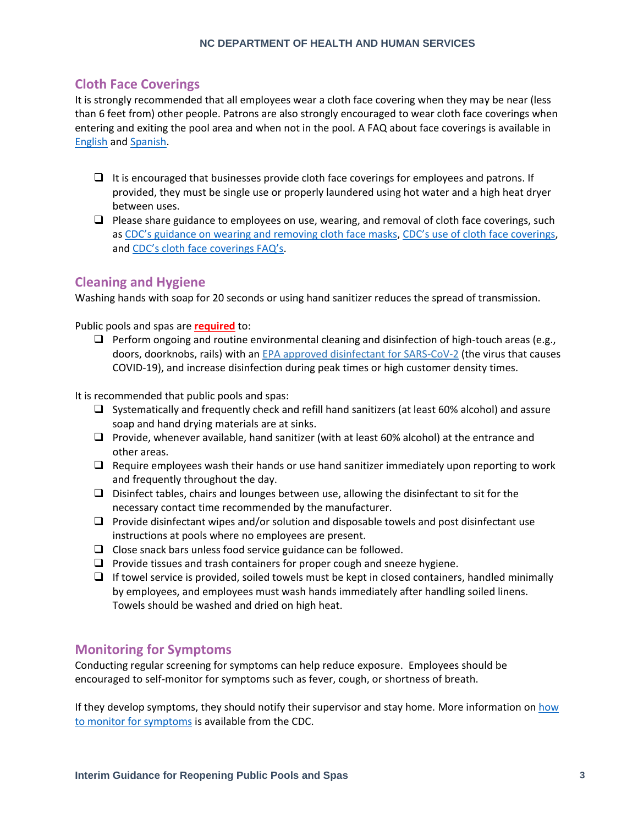# **Cloth Face Coverings**

It is strongly recommended that all employees wear a cloth face covering when they may be near (less than 6 feet from) other people. Patrons are also strongly encouraged to wear cloth face coverings when entering and exiting the pool area and when not in the pool. A FAQ about face coverings is available in [English](https://files.nc.gov/ncdhhs/documents/files/covid-19/FAQs-Cloth-Face-Coverings.pdf) and [Spanish.](https://files.nc.gov/ncdhhs/documents/files/covid-19/FAQs-on-Cloth-Face-Coverings-Spanish.pdf)

- $\Box$  It is encouraged that businesses provide cloth face coverings for employees and patrons. If provided, they must be single use or properly laundered using hot water and a high heat dryer between uses.
- $\Box$  Please share guidance to employees on use, wearing, and removal of cloth face coverings, such as [CDC's guidance on wearing and removing cloth face masks](https://www.cdc.gov/coronavirus/2019-ncov/downloads/cloth-face-covering.pdf), [CDC's use of cloth face coverings](https://www.cdc.gov/coronavirus/2019-ncov/prevent-getting-sick/diy-cloth-face-coverings.html), and [CDC's cloth face coverings FAQ's](https://www.cdc.gov/coronavirus/2019-ncov/prevent-getting-sick/cloth-face-cover-faq.html).

# **Cleaning and Hygiene**

Washing hands with soap for 20 seconds or using hand sanitizer reduces the spread of transmission.

Public pools and spas are **required** to:

 $\Box$  Perform ongoing and routine environmental cleaning and disinfection of high-touch areas (e.g., doors, doorknobs, rails) with an [EPA approved disinfectant for SARS-CoV-2](https://www.epa.gov/pesticide-registration/list-n-disinfectants-use-against-sars-cov-2) (the virus that causes COVID-19), and increase disinfection during peak times or high customer density times.

It is recommended that public pools and spas:

- ❑ Systematically and frequently check and refill hand sanitizers (at least 60% alcohol) and assure soap and hand drying materials are at sinks.
- ❑ Provide, whenever available, hand sanitizer (with at least 60% alcohol) at the entrance and other areas.
- $\Box$  Require employees wash their hands or use hand sanitizer immediately upon reporting to work and frequently throughout the day.
- ❑ Disinfect tables, chairs and lounges between use, allowing the disinfectant to sit for the necessary contact time recommended by the manufacturer.
- $\Box$  Provide disinfectant wipes and/or solution and disposable towels and post disinfectant use instructions at pools where no employees are present.
- ❑ Close snack bars unless food service guidance can be followed.
- $\Box$  Provide tissues and trash containers for proper cough and sneeze hygiene.
- ❑ If towel service is provided, soiled towels must be kept in closed containers, handled minimally by employees, and employees must wash hands immediately after handling soiled linens. Towels should be washed and dried on high heat.

## **Monitoring for Symptoms**

Conducting regular screening for symptoms can help reduce exposure. Employees should be encouraged to self-monitor for symptoms such as fever, cough, or shortness of breath.

If they develop symptoms, they should notify their supervisor and stay home. More information on how [to monitor for symptoms](https://www.cdc.gov/coronavirus/2019-ncov/symptoms-testing/symptoms.html) is available from the CDC.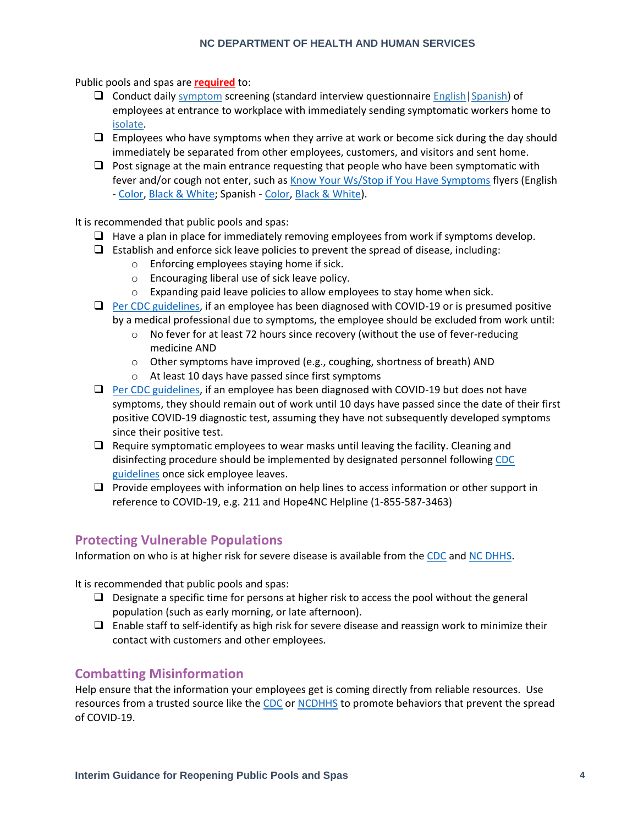#### **NC DEPARTMENT OF HEALTH AND HUMAN SERVICES**

Public pools and spas are **required** to:

- ❑ Conduct daily [symptom](https://www.cdc.gov/coronavirus/2019-ncov/symptoms-testing/symptoms.html?CDC_AA_refVal=https%3A%2F%2Fwww.cdc.gov%2Fcoronavirus%2F2019-ncov%2Fsymptoms-testing%2Findex.html) screening (standard interview questionnaire [English](https://files.nc.gov/ncdhhs/Symptom-Screening-Checklist-ENGLISH.docx)[|Spanish\)](https://files.nc.gov/ncdhhs/Symptom-Screening-Checklist-SPANISH.docx) of employees at entrance to workplace with immediately sending symptomatic workers home to [isolate.](https://www.cdc.gov/coronavirus/2019-ncov/if-you-are-sick/steps-when-sick.html)
- $\Box$  Employees who have symptoms when they arrive at work or become sick during the day should immediately be separated from other employees, customers, and visitors and sent home.
- $\Box$  Post signage at the main entrance requesting that people who have been symptomatic with fever and/or cough not enter, such a[s Know Your Ws/Stop if You Have Symptoms](https://covid19.ncdhhs.gov/materials-resources/know-your-ws-wear-wait-wash) flyers (English - [Color,](https://files.nc.gov/ncdhhs/documents/files/covid-19/KnowYourWs-Business-Sign_ENG.pdf) [Black & White;](https://files.nc.gov/ncdhhs/documents/files/covid-19/KnowYourWs-BusinessSign-BW_ENG.pdf) Spanish - [Color,](https://files.nc.gov/ncdhhs/documents/files/covid-19/KnowYourWs-Business-Sign_SPA.pdf) [Black & White\)](https://files.nc.gov/ncdhhs/documents/files/covid-19/SS-BusinessSign-BW_SPA.pdf).

It is recommended that public pools and spas:

- $\Box$  Have a plan in place for immediately removing employees from work if symptoms develop.
- $\Box$  Establish and enforce sick leave policies to prevent the spread of disease, including:
	- o Enforcing employees staying home if sick.
	- o Encouraging liberal use of sick leave policy.
	- o Expanding paid leave policies to allow employees to stay home when sick.
- ❑ [Per CDC guidelines,](https://www.cdc.gov/coronavirus/2019-ncov/hcp/disposition-hospitalized-patients.html) if an employee has been diagnosed with COVID-19 or is presumed positive by a medical professional due to symptoms, the employee should be excluded from work until:
	- o No fever for at least 72 hours since recovery (without the use of fever-reducing medicine AND
	- $\circ$  Other symptoms have improved (e.g., coughing, shortness of breath) AND
	- o At least 10 days have passed since first symptoms
- □ [Per CDC guidelines,](https://www.cdc.gov/coronavirus/2019-ncov/hcp/disposition-hospitalized-patients.html) if an employee has been diagnosed with COVID-19 but does not have symptoms, they should remain out of work until 10 days have passed since the date of their first positive COVID-19 diagnostic test, assuming they have not subsequently developed symptoms since their positive test.
- $\Box$  Require symptomatic employees to wear masks until leaving the facility. Cleaning and disinfecting procedure should be implemented by designated personnel followin[g CDC](https://www.cdc.gov/coronavirus/2019-ncov/community/organizations/cleaning-disinfection.html#Cleaning)  [guidelines](https://www.cdc.gov/coronavirus/2019-ncov/community/organizations/cleaning-disinfection.html#Cleaning) once sick employee leaves.
- ❑ Provide employees with information on help lines to access information or other support in reference to COVID-19, e.g. 211 and Hope4NC Helpline (1-855-587-3463)

# **Protecting Vulnerable Populations**

Information on who is at higher risk for severe disease is available from the [CDC](https://www.cdc.gov/coronavirus/2019-ncov/need-extra-precautions/people-at-higher-risk.html) and [NC DHHS.](https://covid19.ncdhhs.gov/information/individuals-families-communities/individuals-higher-risk)

It is recommended that public pools and spas:

- $\Box$  Designate a specific time for persons at higher risk to access the pool without the general population (such as early morning, or late afternoon).
- $\Box$  Enable staff to self-identify as high risk for severe disease and reassign work to minimize their contact with customers and other employees.

# **Combatting Misinformation**

Help ensure that the information your employees get is coming directly from reliable resources. Use resources from a trusted source like th[e CDC](https://www.cdc.gov/coronavirus/2019-ncov/prevent-getting-sick/prevention.html) or [NCDHHS](https://www.ncdhhs.gov/divisions/public-health/covid19/individuals-and-families) to promote behaviors that prevent the spread of COVID-19.